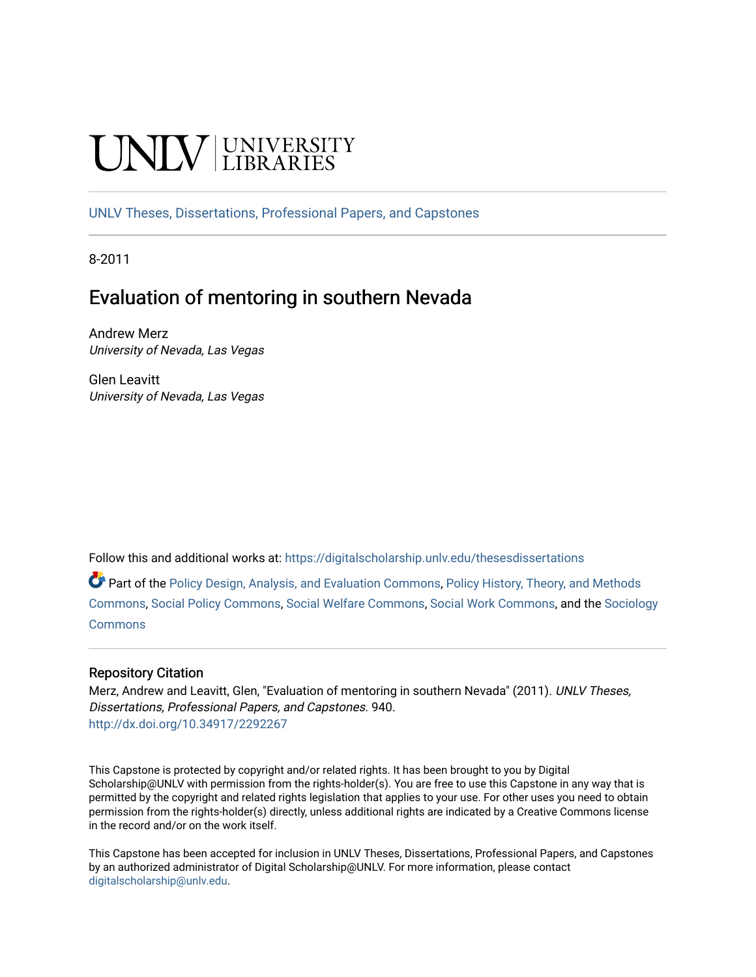# **INIVERSITY**

[UNLV Theses, Dissertations, Professional Papers, and Capstones](https://digitalscholarship.unlv.edu/thesesdissertations)

8-2011

# Evaluation of mentoring in southern Nevada

Andrew Merz University of Nevada, Las Vegas

Glen Leavitt University of Nevada, Las Vegas

Follow this and additional works at: [https://digitalscholarship.unlv.edu/thesesdissertations](https://digitalscholarship.unlv.edu/thesesdissertations?utm_source=digitalscholarship.unlv.edu%2Fthesesdissertations%2F940&utm_medium=PDF&utm_campaign=PDFCoverPages)

Part of the [Policy Design, Analysis, and Evaluation Commons](http://network.bepress.com/hgg/discipline/1032?utm_source=digitalscholarship.unlv.edu%2Fthesesdissertations%2F940&utm_medium=PDF&utm_campaign=PDFCoverPages), [Policy History, Theory, and Methods](http://network.bepress.com/hgg/discipline/1036?utm_source=digitalscholarship.unlv.edu%2Fthesesdissertations%2F940&utm_medium=PDF&utm_campaign=PDFCoverPages) [Commons](http://network.bepress.com/hgg/discipline/1036?utm_source=digitalscholarship.unlv.edu%2Fthesesdissertations%2F940&utm_medium=PDF&utm_campaign=PDFCoverPages), [Social Policy Commons,](http://network.bepress.com/hgg/discipline/1030?utm_source=digitalscholarship.unlv.edu%2Fthesesdissertations%2F940&utm_medium=PDF&utm_campaign=PDFCoverPages) [Social Welfare Commons](http://network.bepress.com/hgg/discipline/401?utm_source=digitalscholarship.unlv.edu%2Fthesesdissertations%2F940&utm_medium=PDF&utm_campaign=PDFCoverPages), [Social Work Commons,](http://network.bepress.com/hgg/discipline/713?utm_source=digitalscholarship.unlv.edu%2Fthesesdissertations%2F940&utm_medium=PDF&utm_campaign=PDFCoverPages) and the [Sociology](http://network.bepress.com/hgg/discipline/416?utm_source=digitalscholarship.unlv.edu%2Fthesesdissertations%2F940&utm_medium=PDF&utm_campaign=PDFCoverPages) **[Commons](http://network.bepress.com/hgg/discipline/416?utm_source=digitalscholarship.unlv.edu%2Fthesesdissertations%2F940&utm_medium=PDF&utm_campaign=PDFCoverPages)** 

#### Repository Citation

Merz, Andrew and Leavitt, Glen, "Evaluation of mentoring in southern Nevada" (2011). UNLV Theses, Dissertations, Professional Papers, and Capstones. 940. <http://dx.doi.org/10.34917/2292267>

This Capstone is protected by copyright and/or related rights. It has been brought to you by Digital Scholarship@UNLV with permission from the rights-holder(s). You are free to use this Capstone in any way that is permitted by the copyright and related rights legislation that applies to your use. For other uses you need to obtain permission from the rights-holder(s) directly, unless additional rights are indicated by a Creative Commons license in the record and/or on the work itself.

This Capstone has been accepted for inclusion in UNLV Theses, Dissertations, Professional Papers, and Capstones by an authorized administrator of Digital Scholarship@UNLV. For more information, please contact [digitalscholarship@unlv.edu](mailto:digitalscholarship@unlv.edu).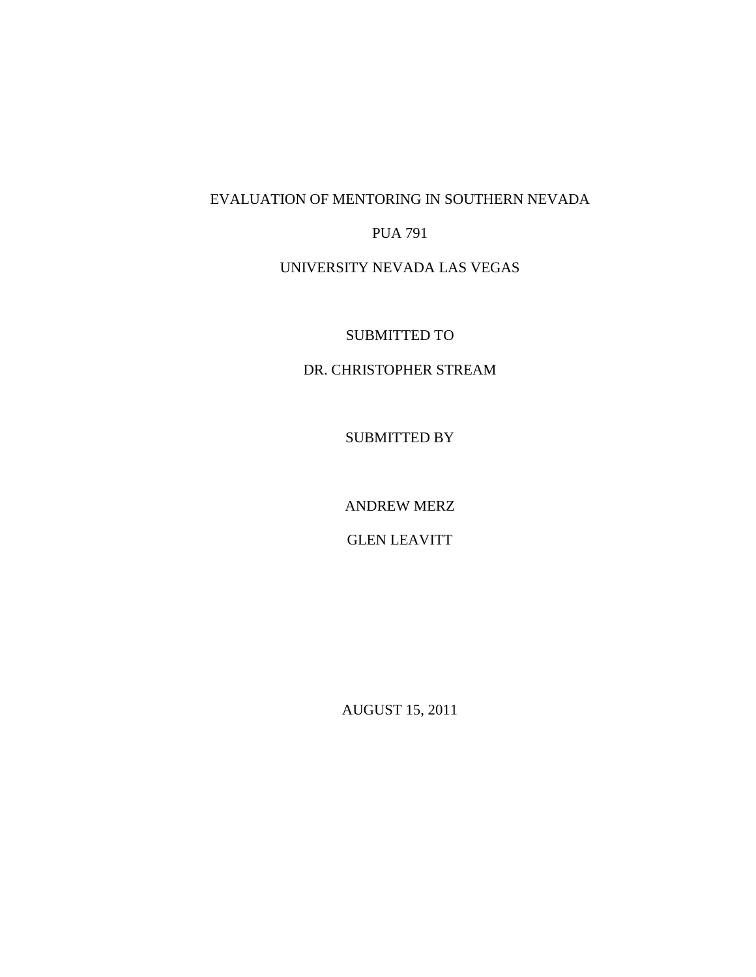### EVALUATION OF MENTORING IN SOUTHERN NEVADA

#### PUA 791

## UNIVERSITY NEVADA LAS VEGAS

SUBMITTED TO

#### DR. CHRISTOPHER STREAM

SUBMITTED BY

ANDREW MERZ

GLEN LEAVITT

AUGUST 15, 2011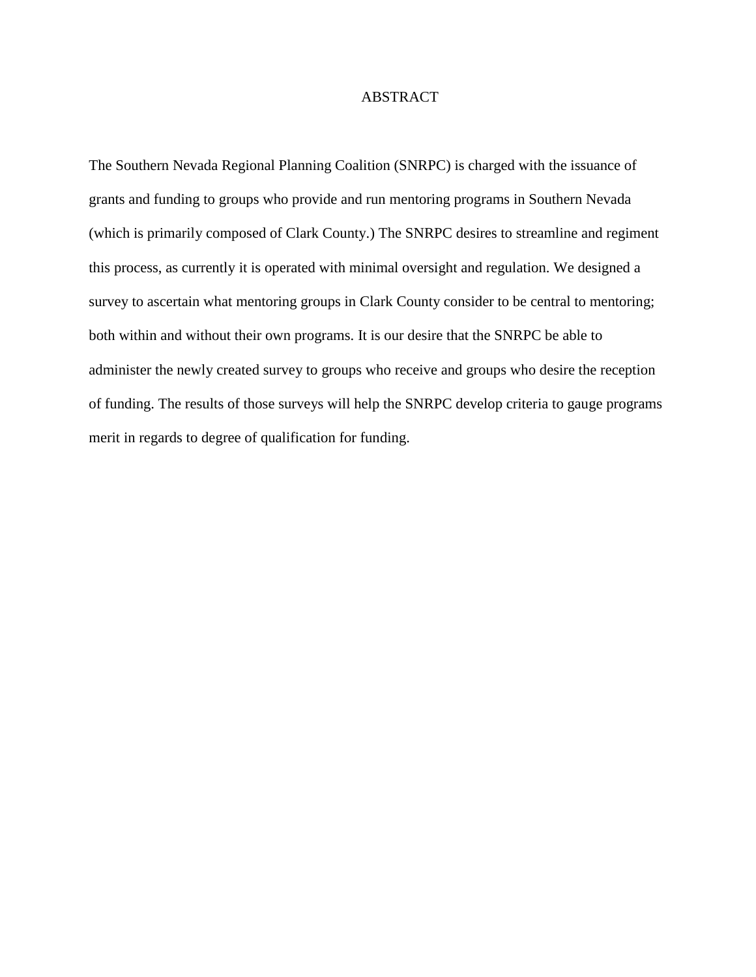#### ABSTRACT

The Southern Nevada Regional Planning Coalition (SNRPC) is charged with the issuance of grants and funding to groups who provide and run mentoring programs in Southern Nevada (which is primarily composed of Clark County.) The SNRPC desires to streamline and regiment this process, as currently it is operated with minimal oversight and regulation. We designed a survey to ascertain what mentoring groups in Clark County consider to be central to mentoring; both within and without their own programs. It is our desire that the SNRPC be able to administer the newly created survey to groups who receive and groups who desire the reception of funding. The results of those surveys will help the SNRPC develop criteria to gauge programs merit in regards to degree of qualification for funding.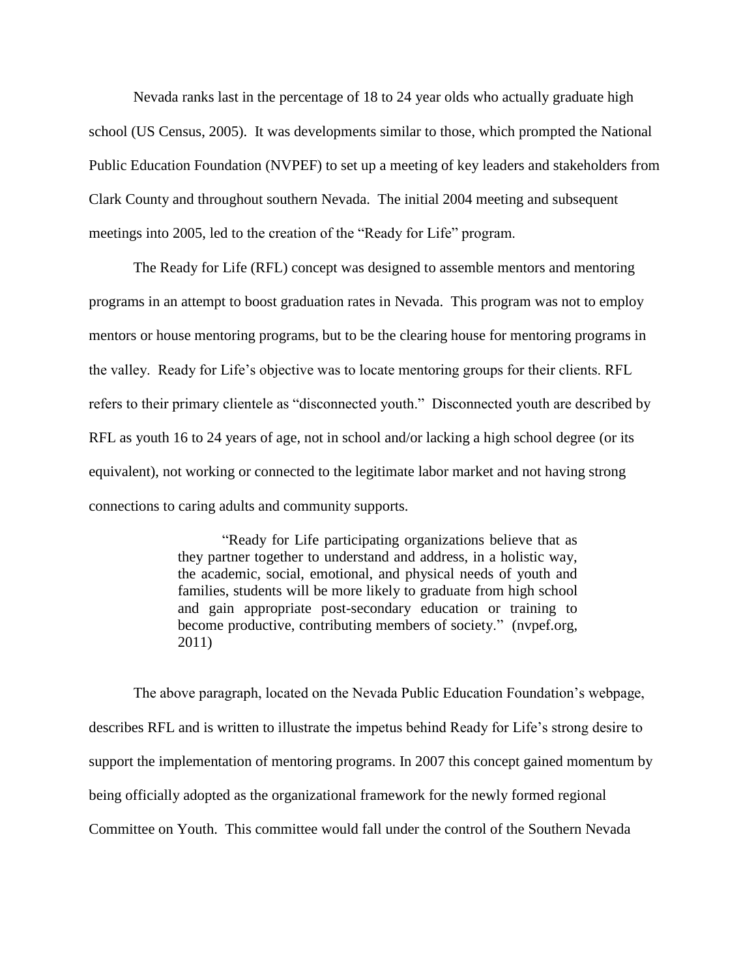Nevada ranks last in the percentage of 18 to 24 year olds who actually graduate high school (US Census, 2005). It was developments similar to those, which prompted the National Public Education Foundation (NVPEF) to set up a meeting of key leaders and stakeholders from Clark County and throughout southern Nevada. The initial 2004 meeting and subsequent meetings into 2005, led to the creation of the "Ready for Life" program.

The Ready for Life (RFL) concept was designed to assemble mentors and mentoring programs in an attempt to boost graduation rates in Nevada. This program was not to employ mentors or house mentoring programs, but to be the clearing house for mentoring programs in the valley. Ready for Life's objective was to locate mentoring groups for their clients. RFL refers to their primary clientele as "disconnected youth." Disconnected youth are described by RFL as youth 16 to 24 years of age, not in school and/or lacking a high school degree (or its equivalent), not working or connected to the legitimate labor market and not having strong connections to caring adults and community supports.

> "Ready for Life participating organizations believe that as they partner together to understand and address, in a holistic way, the academic, social, emotional, and physical needs of youth and families, students will be more likely to graduate from high school and gain appropriate post-secondary education or training to become productive, contributing members of society." (nvpef.org, 2011)

The above paragraph, located on the Nevada Public Education Foundation's webpage, describes RFL and is written to illustrate the impetus behind Ready for Life's strong desire to support the implementation of mentoring programs. In 2007 this concept gained momentum by being officially adopted as the organizational framework for the newly formed regional Committee on Youth. This committee would fall under the control of the Southern Nevada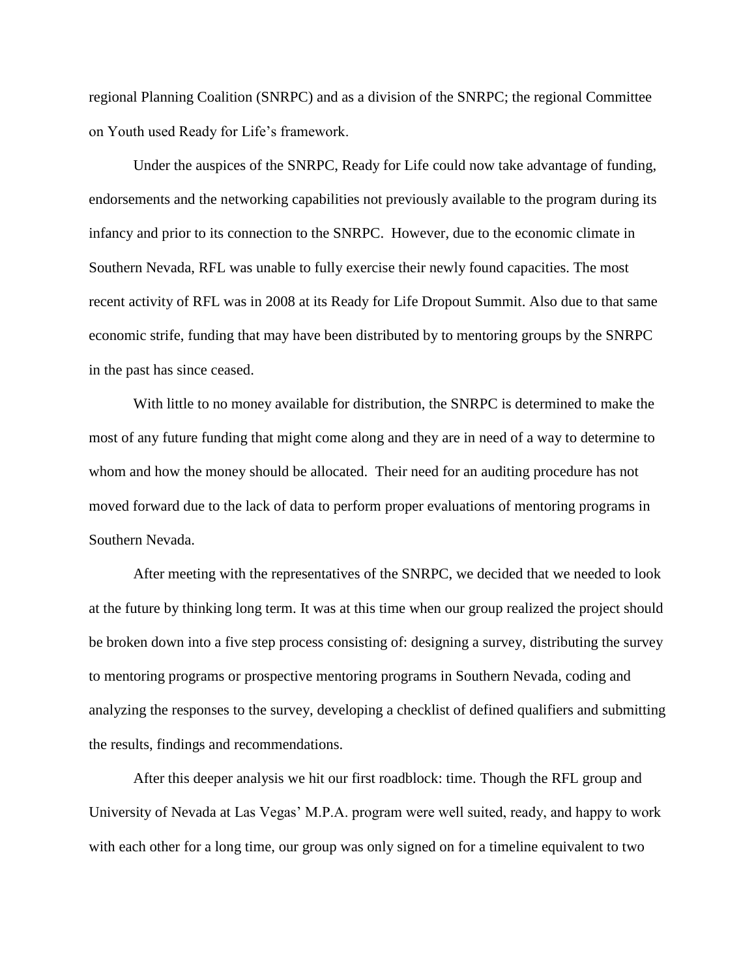regional Planning Coalition (SNRPC) and as a division of the SNRPC; the regional Committee on Youth used Ready for Life's framework.

Under the auspices of the SNRPC, Ready for Life could now take advantage of funding, endorsements and the networking capabilities not previously available to the program during its infancy and prior to its connection to the SNRPC. However, due to the economic climate in Southern Nevada, RFL was unable to fully exercise their newly found capacities. The most recent activity of RFL was in 2008 at its Ready for Life Dropout Summit. Also due to that same economic strife, funding that may have been distributed by to mentoring groups by the SNRPC in the past has since ceased.

With little to no money available for distribution, the SNRPC is determined to make the most of any future funding that might come along and they are in need of a way to determine to whom and how the money should be allocated. Their need for an auditing procedure has not moved forward due to the lack of data to perform proper evaluations of mentoring programs in Southern Nevada.

After meeting with the representatives of the SNRPC, we decided that we needed to look at the future by thinking long term. It was at this time when our group realized the project should be broken down into a five step process consisting of: designing a survey, distributing the survey to mentoring programs or prospective mentoring programs in Southern Nevada, coding and analyzing the responses to the survey, developing a checklist of defined qualifiers and submitting the results, findings and recommendations.

After this deeper analysis we hit our first roadblock: time. Though the RFL group and University of Nevada at Las Vegas' M.P.A. program were well suited, ready, and happy to work with each other for a long time, our group was only signed on for a timeline equivalent to two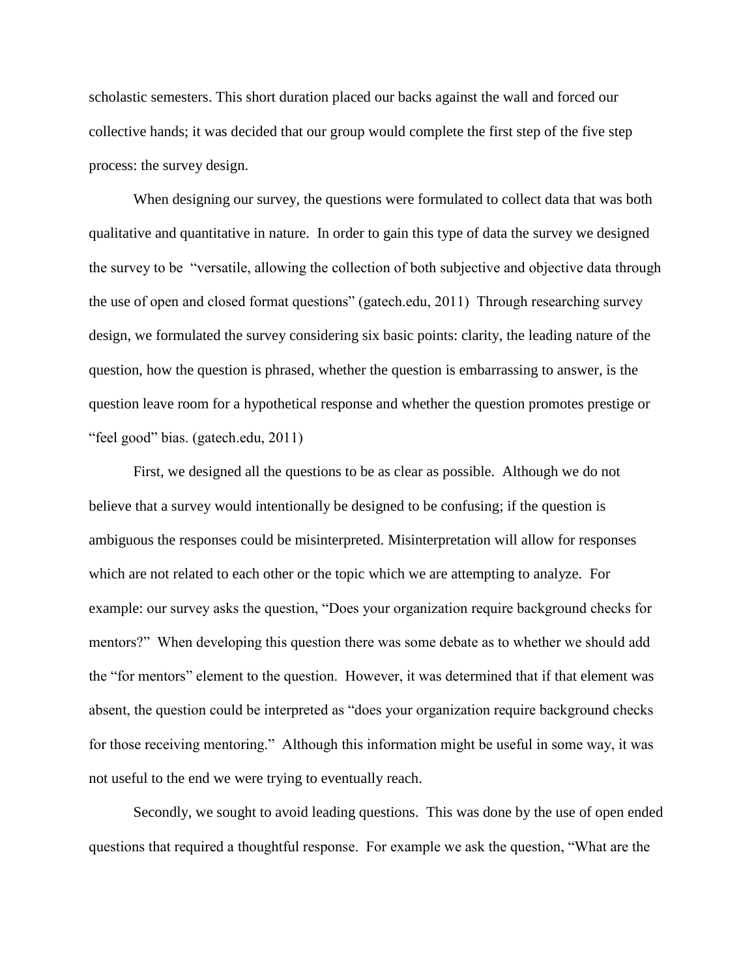scholastic semesters. This short duration placed our backs against the wall and forced our collective hands; it was decided that our group would complete the first step of the five step process: the survey design.

When designing our survey, the questions were formulated to collect data that was both qualitative and quantitative in nature. In order to gain this type of data the survey we designed the survey to be "versatile, allowing the collection of both subjective and objective data through the use of open and closed format questions" (gatech.edu, 2011) Through researching survey design, we formulated the survey considering six basic points: clarity, the leading nature of the question, how the question is phrased, whether the question is embarrassing to answer, is the question leave room for a hypothetical response and whether the question promotes prestige or "feel good" bias. (gatech.edu, 2011)

First, we designed all the questions to be as clear as possible. Although we do not believe that a survey would intentionally be designed to be confusing; if the question is ambiguous the responses could be misinterpreted. Misinterpretation will allow for responses which are not related to each other or the topic which we are attempting to analyze. For example: our survey asks the question, "Does your organization require background checks for mentors?" When developing this question there was some debate as to whether we should add the "for mentors" element to the question. However, it was determined that if that element was absent, the question could be interpreted as "does your organization require background checks for those receiving mentoring." Although this information might be useful in some way, it was not useful to the end we were trying to eventually reach.

Secondly, we sought to avoid leading questions. This was done by the use of open ended questions that required a thoughtful response. For example we ask the question, "What are the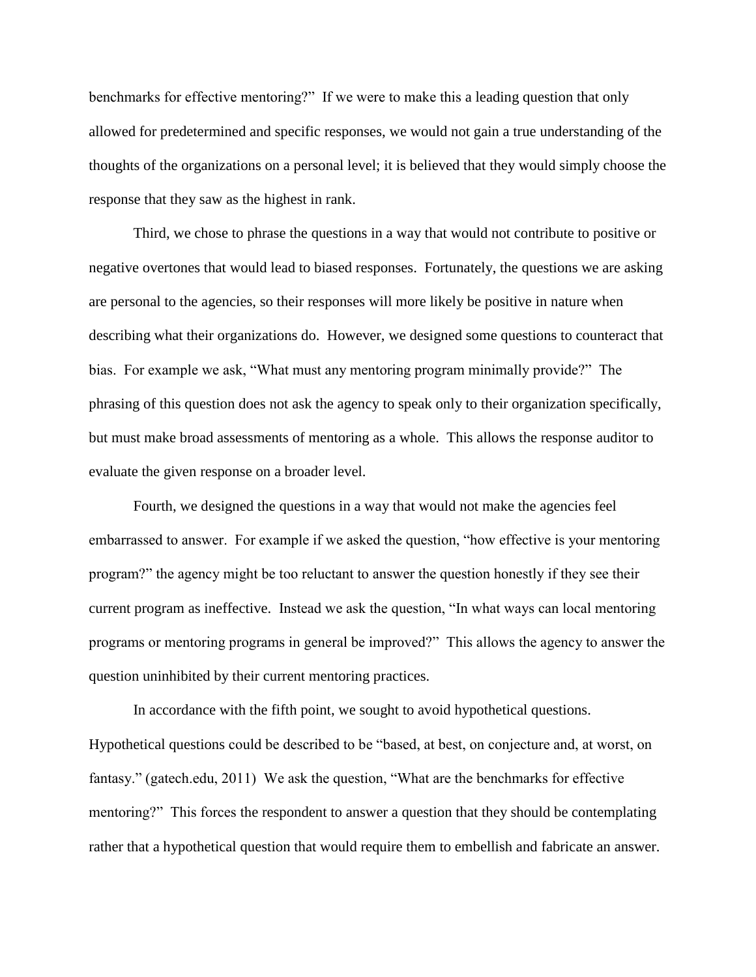benchmarks for effective mentoring?" If we were to make this a leading question that only allowed for predetermined and specific responses, we would not gain a true understanding of the thoughts of the organizations on a personal level; it is believed that they would simply choose the response that they saw as the highest in rank.

Third, we chose to phrase the questions in a way that would not contribute to positive or negative overtones that would lead to biased responses. Fortunately, the questions we are asking are personal to the agencies, so their responses will more likely be positive in nature when describing what their organizations do. However, we designed some questions to counteract that bias. For example we ask, "What must any mentoring program minimally provide?" The phrasing of this question does not ask the agency to speak only to their organization specifically, but must make broad assessments of mentoring as a whole. This allows the response auditor to evaluate the given response on a broader level.

Fourth, we designed the questions in a way that would not make the agencies feel embarrassed to answer. For example if we asked the question, "how effective is your mentoring program?" the agency might be too reluctant to answer the question honestly if they see their current program as ineffective. Instead we ask the question, "In what ways can local mentoring programs or mentoring programs in general be improved?" This allows the agency to answer the question uninhibited by their current mentoring practices.

In accordance with the fifth point, we sought to avoid hypothetical questions. Hypothetical questions could be described to be "based, at best, on conjecture and, at worst, on fantasy." (gatech.edu, 2011) We ask the question, "What are the benchmarks for effective mentoring?" This forces the respondent to answer a question that they should be contemplating rather that a hypothetical question that would require them to embellish and fabricate an answer.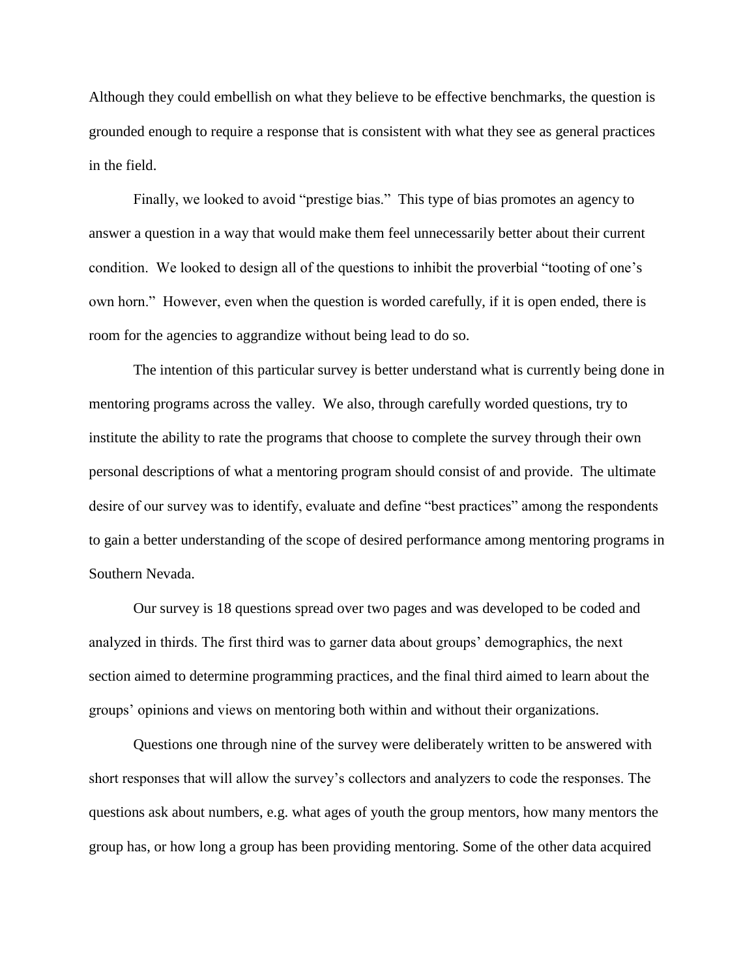Although they could embellish on what they believe to be effective benchmarks, the question is grounded enough to require a response that is consistent with what they see as general practices in the field.

Finally, we looked to avoid "prestige bias." This type of bias promotes an agency to answer a question in a way that would make them feel unnecessarily better about their current condition. We looked to design all of the questions to inhibit the proverbial "tooting of one's own horn." However, even when the question is worded carefully, if it is open ended, there is room for the agencies to aggrandize without being lead to do so.

The intention of this particular survey is better understand what is currently being done in mentoring programs across the valley. We also, through carefully worded questions, try to institute the ability to rate the programs that choose to complete the survey through their own personal descriptions of what a mentoring program should consist of and provide. The ultimate desire of our survey was to identify, evaluate and define "best practices" among the respondents to gain a better understanding of the scope of desired performance among mentoring programs in Southern Nevada.

Our survey is 18 questions spread over two pages and was developed to be coded and analyzed in thirds. The first third was to garner data about groups' demographics, the next section aimed to determine programming practices, and the final third aimed to learn about the groups' opinions and views on mentoring both within and without their organizations.

Questions one through nine of the survey were deliberately written to be answered with short responses that will allow the survey's collectors and analyzers to code the responses. The questions ask about numbers, e.g. what ages of youth the group mentors, how many mentors the group has, or how long a group has been providing mentoring. Some of the other data acquired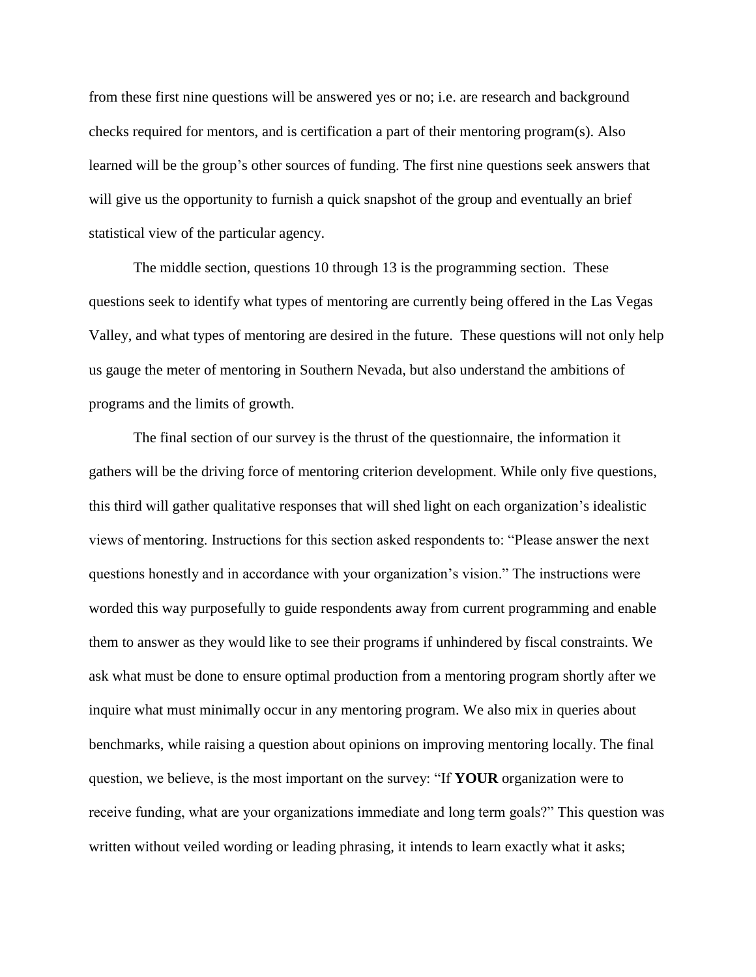from these first nine questions will be answered yes or no; i.e. are research and background checks required for mentors, and is certification a part of their mentoring program(s). Also learned will be the group's other sources of funding. The first nine questions seek answers that will give us the opportunity to furnish a quick snapshot of the group and eventually an brief statistical view of the particular agency.

The middle section, questions 10 through 13 is the programming section. These questions seek to identify what types of mentoring are currently being offered in the Las Vegas Valley, and what types of mentoring are desired in the future. These questions will not only help us gauge the meter of mentoring in Southern Nevada, but also understand the ambitions of programs and the limits of growth.

The final section of our survey is the thrust of the questionnaire, the information it gathers will be the driving force of mentoring criterion development. While only five questions, this third will gather qualitative responses that will shed light on each organization's idealistic views of mentoring. Instructions for this section asked respondents to: "Please answer the next questions honestly and in accordance with your organization's vision." The instructions were worded this way purposefully to guide respondents away from current programming and enable them to answer as they would like to see their programs if unhindered by fiscal constraints. We ask what must be done to ensure optimal production from a mentoring program shortly after we inquire what must minimally occur in any mentoring program. We also mix in queries about benchmarks, while raising a question about opinions on improving mentoring locally. The final question, we believe, is the most important on the survey: "If **YOUR** organization were to receive funding, what are your organizations immediate and long term goals?" This question was written without veiled wording or leading phrasing, it intends to learn exactly what it asks;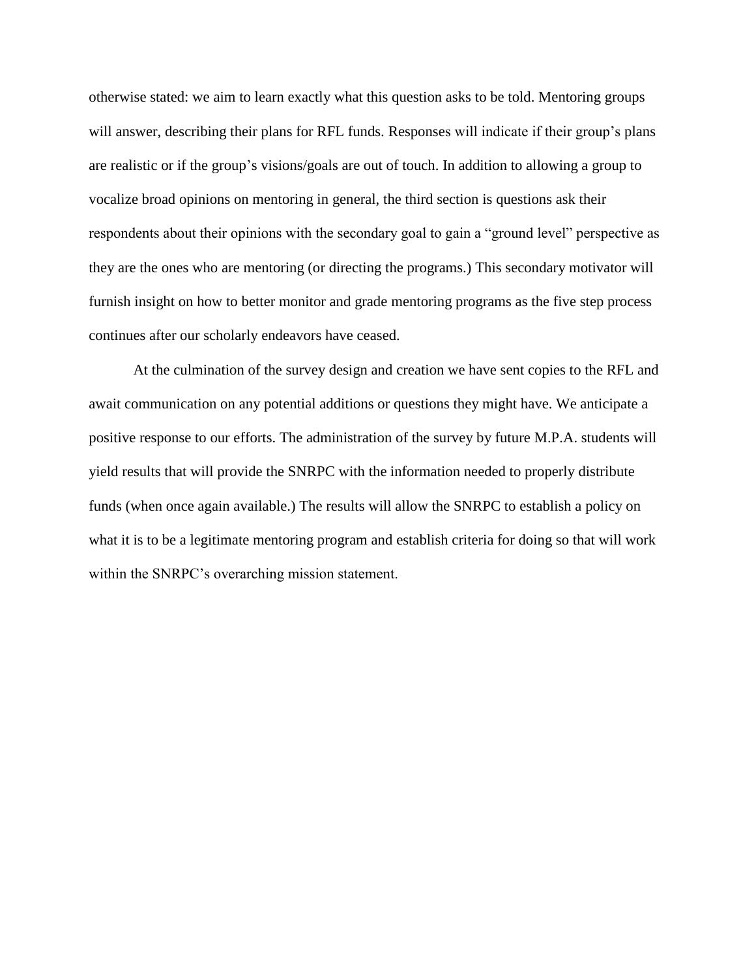otherwise stated: we aim to learn exactly what this question asks to be told. Mentoring groups will answer, describing their plans for RFL funds. Responses will indicate if their group's plans are realistic or if the group's visions/goals are out of touch. In addition to allowing a group to vocalize broad opinions on mentoring in general, the third section is questions ask their respondents about their opinions with the secondary goal to gain a "ground level" perspective as they are the ones who are mentoring (or directing the programs.) This secondary motivator will furnish insight on how to better monitor and grade mentoring programs as the five step process continues after our scholarly endeavors have ceased.

At the culmination of the survey design and creation we have sent copies to the RFL and await communication on any potential additions or questions they might have. We anticipate a positive response to our efforts. The administration of the survey by future M.P.A. students will yield results that will provide the SNRPC with the information needed to properly distribute funds (when once again available.) The results will allow the SNRPC to establish a policy on what it is to be a legitimate mentoring program and establish criteria for doing so that will work within the SNRPC's overarching mission statement.